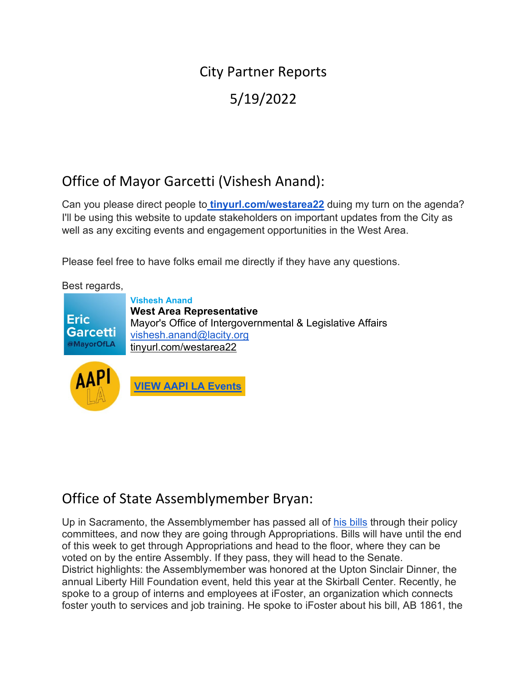# City Partner Reports 5/19/2022

## Office of Mayor Garcetti (Vishesh Anand):

Can you please direct people to **[tinyurl.com/westarea22](http://tinyurl.com/westarea22)** duing my turn on the agenda? I'll be using this website to update stakeholders on important updates from the City as well as any exciting events and engagement opportunities in the West Area.

Please feel free to have folks email me directly if they have any questions.

Best regards,

**Vishesh Anand West Area Representative Eric** Mayor's Office of Intergovernmental & Legislative Affairs Garcetti [vishesh.anand@lacity.org](mailto:vishesh.anand@lacity.org)  @MayorOfLA [tinyurl.com/westarea22](https://tinyurl.com/westarea22)





## Office of State Assemblymember Bryan:

Up in Sacramento, the Assemblymember has passed all of [his bills](https://leginfo.legislature.ca.gov/faces/billSearchClient.xhtml?session_year=20212022&house=Both&author=Bryan&lawCode=All) through their policy committees, and now they are going through Appropriations. Bills will have until the end of this week to get through Appropriations and head to the floor, where they can be voted on by the entire Assembly. If they pass, they will head to the Senate. District highlights: the Assemblymember was honored at the Upton Sinclair Dinner, the annual Liberty Hill Foundation event, held this year at the Skirball Center. Recently, he spoke to a group of interns and employees at iFoster, an organization which connects foster youth to services and job training. He spoke to iFoster about his bill, AB 1861, the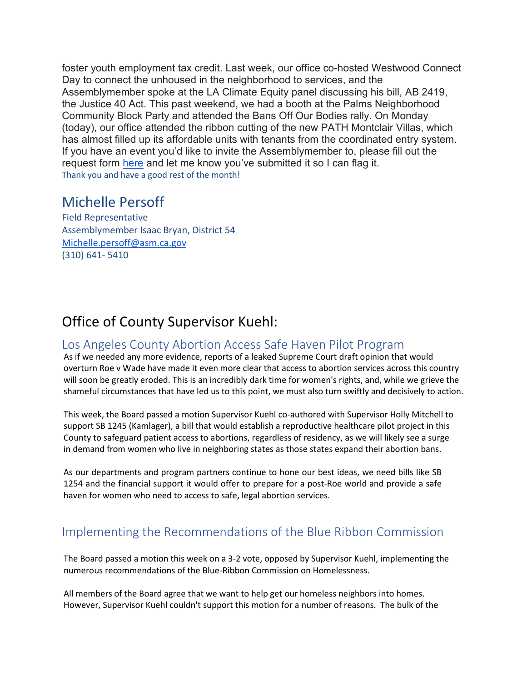foster youth employment tax credit. Last week, our office co-hosted Westwood Connect Day to connect the unhoused in the neighborhood to services, and the Assemblymember spoke at the LA Climate Equity panel discussing his bill, AB 2419, the Justice 40 Act. This past weekend, we had a booth at the Palms Neighborhood Community Block Party and attended the Bans Off Our Bodies rally. On Monday (today), our office attended the ribbon cutting of the new PATH Montclair Villas, which has almost filled up its affordable units with tenants from the coordinated entry system. If you have an event you'd like to invite the Assemblymember to, please fill out the request form [here](https://scheduling.assembly.ca.gov/a54) and let me know you've submitted it so I can flag it. Thank you and have a good rest of the month!

### Michelle Persoff

Field Representative Assemblymember Isaac Bryan, District 54 [Michelle.persoff@asm.ca.gov](mailto:Michelle.persoff@asm.ca.gov) (310) 641- 5410

## Office of County Supervisor Kuehl:

### Los Angeles County Abortion Access Safe Haven Pilot Program

As if we needed any more evidence, reports of a leaked Supreme Court draft opinion that would overturn Roe v Wade have made it even more clear that access to abortion services across this country will soon be greatly eroded. This is an incredibly dark time for women's rights, and, while we grieve the shameful circumstances that have led us to this point, we must also turn swiftly and decisively to action.

This week, the Board passed a motion Supervisor Kuehl co-authored with Supervisor Holly Mitchell to support SB 1245 (Kamlager), a bill that would establish a reproductive healthcare pilot project in this County to safeguard patient access to abortions, regardless of residency, as we will likely see a surge in demand from women who live in neighboring states as those states expand their abortion bans.

As our departments and program partners continue to hone our best ideas, we need bills like SB 1254 and the financial support it would offer to prepare for a post-Roe world and provide a safe haven for women who need to access to safe, legal abortion services.

### Implementing the Recommendations of the Blue Ribbon Commission

The Board passed a motion this week on a 3-2 vote, opposed by Supervisor Kuehl, implementing the numerous recommendations of the Blue-Ribbon Commission on Homelessness.

All members of the Board agree that we want to help get our homeless neighbors into homes. However, Supervisor Kuehl couldn't support this motion for a number of reasons. The bulk of the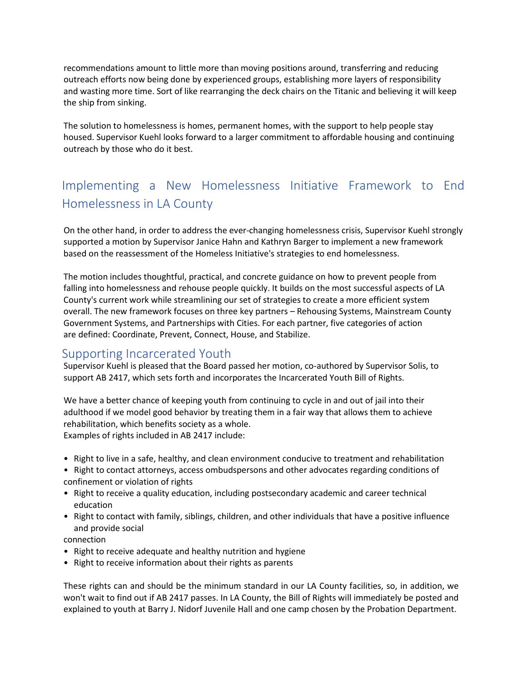recommendations amount to little more than moving positions around, transferring and reducing outreach efforts now being done by experienced groups, establishing more layers of responsibility and wasting more time. Sort of like rearranging the deck chairs on the Titanic and believing it will keep the ship from sinking.

The solution to homelessness is homes, permanent homes, with the support to help people stay housed. Supervisor Kuehl looks forward to a larger commitment to affordable housing and continuing outreach by those who do it best.

## Implementing a New Homelessness Initiative Framework to End Homelessness in LA County

On the other hand, in order to address the ever-changing homelessness crisis, Supervisor Kuehl strongly supported a motion by Supervisor Janice Hahn and Kathryn Barger to implement a new framework based on the reassessment of the Homeless Initiative's strategies to end homelessness.

The motion includes thoughtful, practical, and concrete guidance on how to prevent people from falling into homelessness and rehouse people quickly. It builds on the most successful aspects of LA County's current work while streamlining our set of strategies to create a more efficient system overall. The new framework focuses on three key partners – Rehousing Systems, Mainstream County Government Systems, and Partnerships with Cities. For each partner, five categories of action are defined: Coordinate, Prevent, Connect, House, and Stabilize.

### Supporting Incarcerated Youth

Supervisor Kuehl is pleased that the Board passed her motion, co-authored by Supervisor Solis, to support AB 2417, which sets forth and incorporates the Incarcerated Youth Bill of Rights.

We have a better chance of keeping youth from continuing to cycle in and out of jail into their adulthood if we model good behavior by treating them in a fair way that allows them to achieve rehabilitation, which benefits society as a whole. Examples of rights included in AB 2417 include:

- Right to live in a safe, healthy, and clean environment conducive to treatment and rehabilitation
- Right to contact attorneys, access ombudspersons and other advocates regarding conditions of confinement or violation of rights
- Right to receive a quality education, including postsecondary academic and career technical education
- Right to contact with family, siblings, children, and other individuals that have a positive influence and provide social
- connection
- Right to receive adequate and healthy nutrition and hygiene
- Right to receive information about their rights as parents

These rights can and should be the minimum standard in our LA County facilities, so, in addition, we won't wait to find out if AB 2417 passes. In LA County, the Bill of Rights will immediately be posted and explained to youth at Barry J. Nidorf Juvenile Hall and one camp chosen by the Probation Department.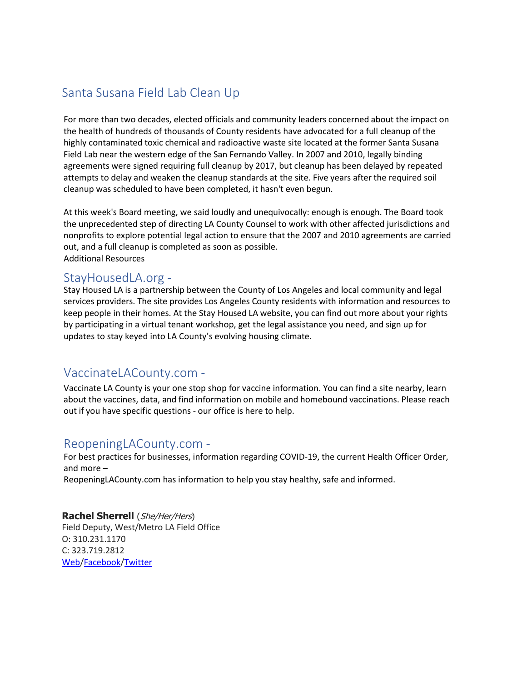## Santa Susana Field Lab Clean Up

For more than two decades, elected officials and community leaders concerned about the impact on the health of hundreds of thousands of County residents have advocated for a full cleanup of the highly contaminated toxic chemical and radioactive waste site located at the former Santa Susana Field Lab near the western edge of the San Fernando Valley. In 2007 and 2010, legally binding agreements were signed requiring full cleanup by 2017, but cleanup has been delayed by repeated attempts to delay and weaken the cleanup standards at the site. Five years after the required soil cleanup was scheduled to have been completed, it hasn't even begun.

At this week's Board meeting, we said loudly and unequivocally: enough is enough. The Board took the unprecedented step of directing LA County Counsel to work with other affected jurisdictions and nonprofits to explore potential legal action to ensure that the 2007 and 2010 agreements are carried out, and a full cleanup is completed as soon as possible. Additional Resources

### StayHousedLA.org -

Stay Housed LA is a partnership between the County of Los Angeles and local community and legal services providers. The site provides Los Angeles County residents with information and resources to keep people in their homes. At the Stay Housed LA website, you can find out more about your rights by participating in a virtual tenant workshop, get the legal assistance you need, and sign up for updates to stay keyed into LA County's evolving housing climate.

### VaccinateLACounty.com -

Vaccinate LA County is your one stop shop for vaccine information. You can find a site nearby, learn about the vaccines, data, and find information on mobile and homebound vaccinations. Please reach out if you have specific questions - our office is here to help.

### ReopeningLACounty.com -

For best practices for businesses, information regarding COVID-19, the current Health Officer Order, and more –

ReopeningLACounty.com has information to help you stay healthy, safe and informed.

**Rachel Sherrell** (She/Her/Hers) Field Deputy, West/Metro LA Field Office O: 310.231.1170 C: 323.719.2812 [Web](http://supervisorkuehl.com/)[/Facebook](https://www.facebook.com/sjkuehl)[/Twitter](https://twitter.com/sheilakuehl)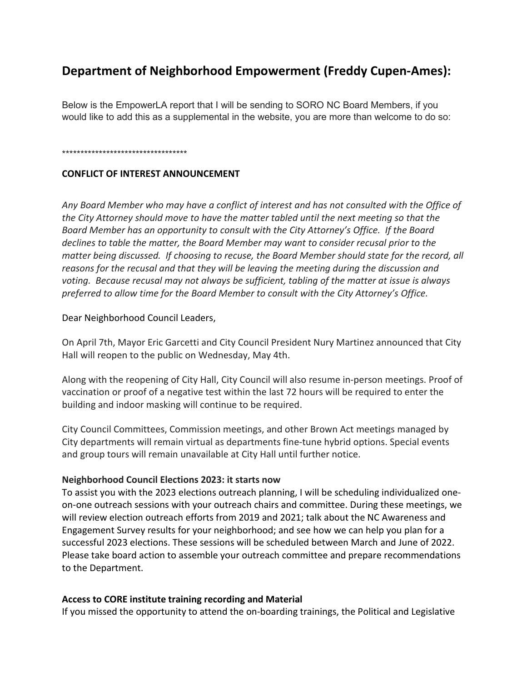### **Department of Neighborhood Empowerment (Freddy Cupen-Ames):**

Below is the EmpowerLA report that I will be sending to SORO NC Board Members, if you would like to add this as a supplemental in the website, you are more than welcome to do so:

#### \*\*\*\*\*\*\*\*\*\*\*\*\*\*\*\*\*\*\*\*\*\*\*\*\*\*\*\*\*\*\*\*\*\*

#### **CONFLICT OF INTEREST ANNOUNCEMENT**

*Any Board Member who may have a conflict of interest and has not consulted with the Office of the City Attorney should move to have the matter tabled until the next meeting so that the Board Member has an opportunity to consult with the City Attorney's Office. If the Board declines to table the matter, the Board Member may want to consider recusal prior to the matter being discussed. If choosing to recuse, the Board Member should state for the record, all reasons for the recusal and that they will be leaving the meeting during the discussion and voting. Because recusal may not always be sufficient, tabling of the matter at issue is always preferred to allow time for the Board Member to consult with the City Attorney's Office.*

#### Dear Neighborhood Council Leaders,

On April 7th, Mayor Eric Garcetti and City Council President Nury Martinez announced that City Hall will reopen to the public on Wednesday, May 4th.

Along with the reopening of City Hall, City Council will also resume in-person meetings. Proof of vaccination or proof of a negative test within the last 72 hours will be required to enter the building and indoor masking will continue to be required.

City Council Committees, Commission meetings, and other Brown Act meetings managed by City departments will remain virtual as departments fine-tune hybrid options. Special events and group tours will remain unavailable at City Hall until further notice.

#### **Neighborhood Council Elections 2023: it starts now**

To assist you with the 2023 elections outreach planning, I will be scheduling individualized oneon-one outreach sessions with your outreach chairs and committee. During these meetings, we will review election outreach efforts from 2019 and 2021; talk about the NC Awareness and Engagement Survey results for your neighborhood; and see how we can help you plan for a successful 2023 elections. These sessions will be scheduled between March and June of 2022. Please take board action to assemble your outreach committee and prepare recommendations to the Department.

#### **Access to CORE institute training recording and Material**

If you missed the opportunity to attend the on-boarding trainings, the Political and Legislative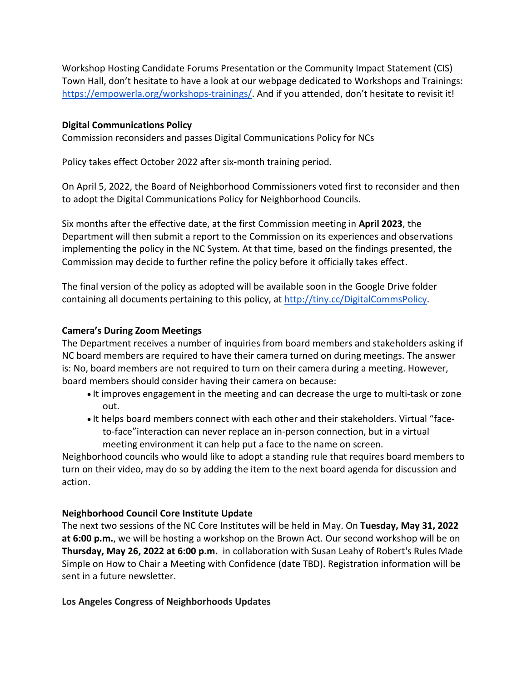Workshop Hosting Candidate Forums Presentation or the Community Impact Statement (CIS) Town Hall, don't hesitate to have a look at our webpage dedicated to Workshops and Trainings: [https://empowerla.org/workshops-trainings/.](https://empowerla.org/workshops-trainings/) And if you attended, don't hesitate to revisit it!

#### **Digital Communications Policy**

Commission reconsiders and passes Digital Communications Policy for NCs

Policy takes effect October 2022 after six-month training period.

On April 5, 2022, the Board of Neighborhood Commissioners voted first to reconsider and then to adopt the Digital Communications Policy for Neighborhood Councils.

Six months after the effective date, at the first Commission meeting in **April 2023**, the Department will then submit a report to the Commission on its experiences and observations implementing the policy in the NC System. At that time, based on the findings presented, the Commission may decide to further refine the policy before it officially takes effect.

The final version of the policy as adopted will be available soon in the Google Drive folder containing all documents pertaining to this policy, at [http://tiny.cc/DigitalCommsPolicy.](https://r20.rs6.net/tn.jsp?f=001tHGwSldBWI2RgI80hrf_xYDCWEQxY0Bpzzq0ypmo_tm0UMuB5_ckkSWmEO_5Sdggmf95sreJfpPzgpkefCPNm73z6fff6tQHBCNEbZq1UWuRw-Vc0OMGruKpp9gQnBTLXy_K29VTj8fl65zct9Ci8KzH_GXubMYA&c=7ByjxO9-PWsbQxUaAQFvMWXLq0xYiIO9WPcuHyMJ2VE5L0le-Lcp4g==&ch=T8bMCLiZMZiRjq4YQyX-rfG0-C5621tswDocgqB7XlWQ50dq44-I4A==)

#### **Camera's During Zoom Meetings**

The Department receives a number of inquiries from board members and stakeholders asking if NC board members are required to have their camera turned on during meetings. The answer is: No, board members are not required to turn on their camera during a meeting. However, board members should consider having their camera on because:

- It improves engagement in the meeting and can decrease the urge to multi-task or zone out.
- It helps board members connect with each other and their stakeholders. Virtual "faceto-face"interaction can never replace an in-person connection, but in a virtual meeting environment it can help put a face to the name on screen.

Neighborhood councils who would like to adopt a standing rule that requires board members to turn on their video, may do so by adding the item to the next board agenda for discussion and action.

#### **Neighborhood Council Core Institute Update**

The next two sessions of the NC Core Institutes will be held in May. On **Tuesday, May 31, 2022 at 6:00 p.m.**, we will be hosting a workshop on the Brown Act. Our second workshop will be on **Thursday, May 26, 2022 at 6:00 p.m.** in collaboration with Susan Leahy of Robert's Rules Made Simple on How to Chair a Meeting with Confidence (date TBD). Registration information will be sent in a future newsletter.

#### **Los Angeles Congress of Neighborhoods Updates**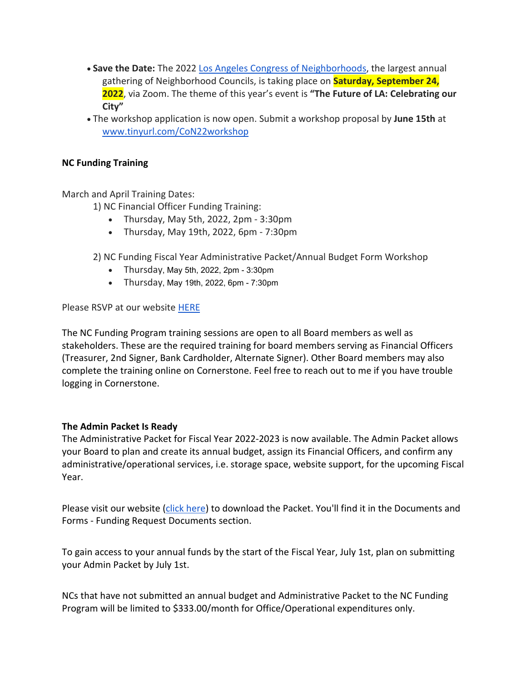- **Save the Date:** The 2022 [Los Angeles Congress of Neighborhoods,](https://www.neighborhoodcongress.la/) the largest annual gathering of Neighborhood Councils, is taking place on **Saturday, September 24, 2022**, via Zoom. The theme of this year's event is **"The Future of LA: Celebrating our City"**
- The workshop application is now open. Submit a workshop proposal by **June 15th** at [www.tinyurl.com/CoN22workshop](http://www.tinyurl.com/CoN22workshop)

#### **NC Funding Training**

March and April Training Dates:

- 1) NC Financial Officer Funding Training:
	- Thursday, May 5th, 2022, 2pm 3:30pm
	- Thursday, May 19th, 2022, 6pm 7:30pm
- 2) NC Funding Fiscal Year Administrative Packet/Annual Budget Form Workshop
	- Thursday, May 5th, 2022, 2pm 3:30pm
	- Thursday, May 19th, 2022, 6pm 7:30pm

Please RSVP at our website [HERE](https://clerk.lacity.org/clerk-services/nc-funding/training-workshops-tools/financial-officer)

The NC Funding Program training sessions are open to all Board members as well as stakeholders. These are the required training for board members serving as Financial Officers (Treasurer, 2nd Signer, Bank Cardholder, Alternate Signer). Other Board members may also complete the training online on Cornerstone. Feel free to reach out to me if you have trouble logging in Cornerstone.

#### **The Admin Packet Is Ready**

The Administrative Packet for Fiscal Year 2022-2023 is now available. The Admin Packet allows your Board to plan and create its annual budget, assign its Financial Officers, and confirm any administrative/operational services, i.e. storage space, website support, for the upcoming Fiscal Year.

Please visit our website [\(click here\)](https://clerk.lacity.org/clerk-services/nc-funding) to download the Packet. You'll find it in the Documents and Forms - Funding Request Documents section.

To gain access to your annual funds by the start of the Fiscal Year, July 1st, plan on submitting your Admin Packet by July 1st.

NCs that have not submitted an annual budget and Administrative Packet to the NC Funding Program will be limited to \$333.00/month for Office/Operational expenditures only.